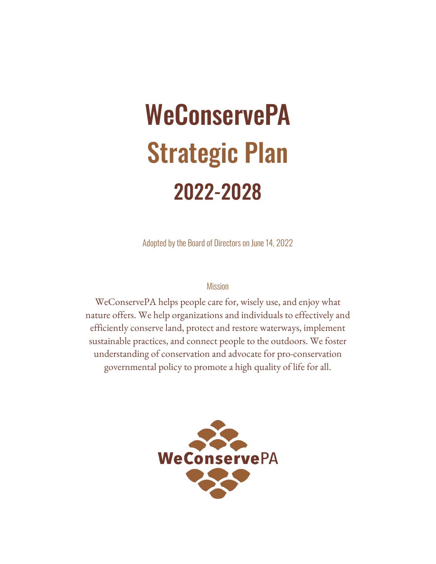# **WeConservePA** Strategic Plan 2022-2028

Adopted by the Board of Directors on June 14, 2022

#### Mission

WeConservePA helps people care for, wisely use, and enjoy what nature offers. We help organizations and individuals to effectively and efficiently conserve land, protect and restore waterways, implement sustainable practices, and connect people to the outdoors. We foster understanding of conservation and advocate for pro-conservation governmental policy to promote a high quality of life for all.

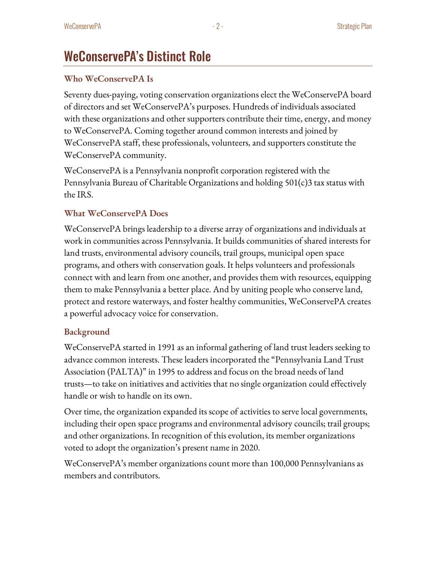### WeConservePA's Distinct Role

#### **Who WeConservePA Is**

Seventy dues-paying, voting conservation organizations elect the WeConservePA board of directors and set WeConservePA's purposes. Hundreds of individuals associated with these organizations and other supporters contribute their time, energy, and money to WeConservePA. Coming together around common interests and joined by WeConservePA staff, these professionals, volunteers, and supporters constitute the WeConservePA community.

WeConservePA is a Pennsylvania nonprofit corporation registered with the Pennsylvania Bureau of Charitable Organizationsand holding 501(c)3 tax status with the IRS.

#### **What WeConservePA Does**

WeConservePA brings leadership to a diverse array of organizations and individuals at work in communities across Pennsylvania. It builds communities of shared interests for land trusts, environmental advisory councils, trail groups, municipal open space programs, and others with conservation goals. It helps volunteers and professionals connect with and learn from one another, and provides them with resources, equipping them to make Pennsylvania a better place. And by uniting people who conserve land, protect and restore waterways, and foster healthy communities, WeConservePA creates a powerful advocacy voice for conservation.

#### **Background**

WeConservePA started in 1991 as an informal gathering of land trust leaders seeking to advance common interests. These leaders incorporated the "Pennsylvania Land Trust Association (PALTA)" in 1995 to address and focus on the broad needs of land trusts—to take on initiatives and activities that no single organization could effectively handle or wish to handle on its own.

Over time, the organization expanded its scope of activities to serve local governments, including their open space programs and environmental advisory councils; trail groups; and other organizations. In recognition of this evolution, its member organizations voted to adopt the organization's present name in 2020.

WeConservePA's member organizations count more than 100,000 Pennsylvanians as members and contributors.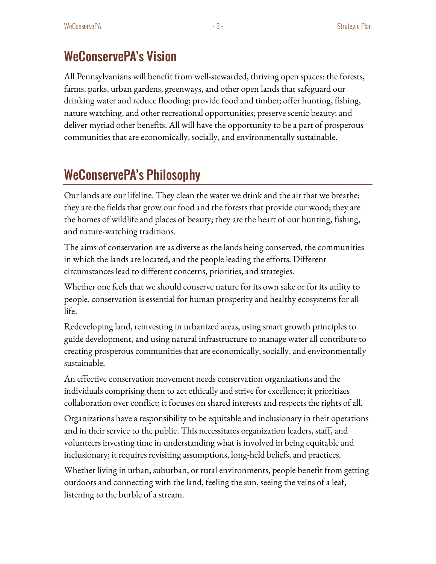### WeConservePA's Vision

All Pennsylvanians will benefit from well-stewarded, thriving open spaces: the forests, farms, parks, urban gardens, greenways, and other open lands that safeguard our drinking water and reduce flooding; provide food and timber; offer hunting, fishing, nature watching, and other recreational opportunities; preserve scenic beauty; and deliver myriad other benefits. All will have the opportunity to be a part of prosperous communities that are economically, socially, and environmentally sustainable.

# WeConservePA's Philosophy

Our lands are our lifeline. They clean the water we drink and the air that we breathe; they are the fields that grow our food and the forests that provide our wood; they are the homes of wildlife and places of beauty; they are the heart of our hunting, fishing, and nature-watching traditions.

The aims of conservation are as diverse as the lands being conserved, the communities in which the lands are located, and the people leading the efforts. Different circumstances lead to different concerns, priorities, and strategies.

Whether one feels that we should conserve nature for its own sake or for its utility to people, conservation is essential for human prosperity and healthy ecosystems for all life.

Redeveloping land, reinvesting in urbanized areas, using smart growth principles to guide development, and using natural infrastructure to manage water all contribute to creating prosperous communities that are economically, socially, and environmentally sustainable.

An effective conservation movement needs conservation organizations and the individuals comprising them to act ethically and strive for excellence; it prioritizes collaboration over conflict; it focuses on shared interestsand respects the rights of all.

Organizations have a responsibility to be equitable and inclusionary in their operations and in their service to the public. This necessitates organization leaders, staff, and volunteers investing time in understanding what is involved in being equitable and inclusionary; it requires revisiting assumptions, long-held beliefs,and practices.

Whether living in urban, suburban, or rural environments, people benefit from getting outdoors and connecting with the land, feeling the sun, seeing the veins of a leaf, listening to the burble of a stream.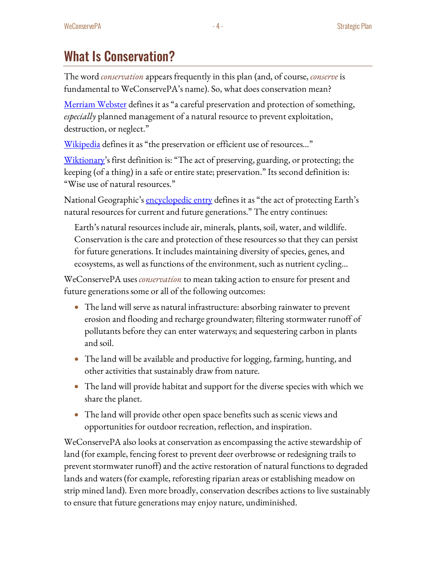### What Is Conservation?

The word *conservation* appears frequently in this plan (and, of course, *conserve* is fundamental to WeConservePA's name). So, what does conservation mean?

[Merriam Webster](https://www.merriam-webster.com/dictionary/conservation) defines it as "a careful preservation and protection of something, *especially* planned management of a natural resource to prevent exploitation, destruction, or neglect."

[Wikipedia](https://en.wikipedia.org/wiki/Conservation) defines it as "the preservation or efficient use of resources..."

[Wiktionary'](https://en.wiktionary.org/wiki/conservation)s first definition is: "The act of preserving, guarding, or protecting; the keeping (of a thing) in a safe or entire state; preservation." Its second definition is: "Wise use of natural resources."

National Geographic's <u>encyclopedic entry</u> defines it as "the act of protecting Earth's natural resources for current and future generations." The entry continues:

Earth's natural resources include air, minerals, plants, soil, water, and wildlife. Conservation is the care and protection of these resources so that they can persist for future generations. It includes maintaining diversity of species, genes, and ecosystems, as well as functions of the environment, such as nutrient cycling…

WeConservePA uses *conservation* to mean taking action to ensure for present and future generations some or all of the following outcomes:

- The land will serve as natural infrastructure: absorbing rainwater to prevent erosion and flooding and recharge groundwater; filtering stormwater runoff of pollutants before they can enter waterways; and sequestering carbon in plants and soil.
- The land will be available and productive for logging, farming, hunting, and other activities that sustainably draw from nature.
- The land will provide habitat and support for the diverse species with which we share the planet.
- The land will provide other open space benefits such as scenic views and opportunities for outdoor recreation, reflection, and inspiration.

WeConservePA also looks at conservation as encompassing the active stewardship of land (for example, fencing forest to prevent deer overbrowse or redesigning trails to prevent stormwater runoff) and the active restoration of natural functions to degraded lands and waters (for example, reforesting riparian areas or establishing meadow on strip mined land). Even more broadly, conservation describes actions to live sustainably to ensure that future generations may enjoy nature, undiminished.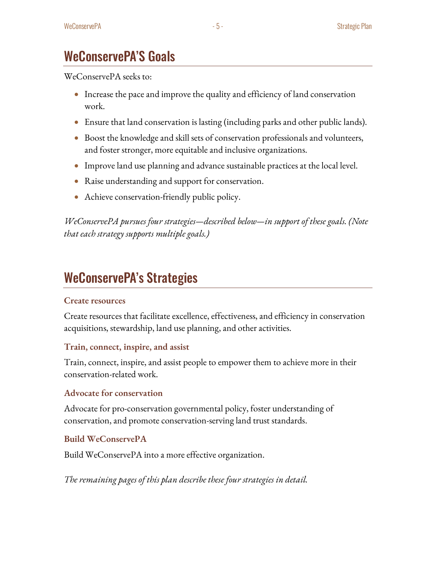### WeConservePA'S Goals

WeConservePA seeks to:

- Increase the pace and improve the quality and efficiency of land conservation work.
- Ensure that land conservation is lasting (including parks and other public lands).
- Boost the knowledge and skill sets of conservation professionals and volunteers, and foster stronger, more equitable and inclusive organizations.
- $\bullet$  Improve land use planning and advance sustainable practices at the local level.
- Raise understanding and support for conservation.
- Achieve conservation-friendly public policy.

*WeConservePA pursues four strategies—described below—in support of these goals. (Note that each strategy supports multiple goals.)*

# WeConservePA's Strategies

#### **Create resources**

Create resources that facilitate excellence, effectiveness, and efficiency in conservation acquisitions, stewardship, land use planning, and other activities.

#### **Train, connect, inspire, and assist**

Train, connect, inspire, and assist people to empower them to achieve more in their conservation-related work.

#### **Advocate for conservation**

Advocate for pro-conservation governmental policy, foster understanding of conservation,and promote conservation-serving land trust standards.

#### **Build WeConservePA**

Build WeConservePA into a more effective organization.

*The remaining pages of this plan describe these four strategies in detail.*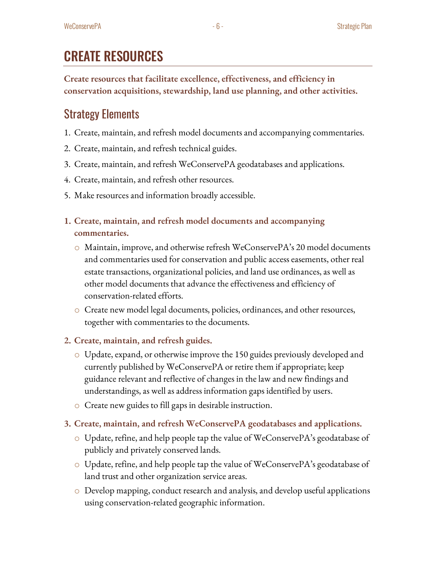# CREATE RESOURCES

**Create resources that facilitate excellence, effectiveness, and efficiency in conservation acquisitions, stewardship, land use planning, and other activities.**

### Strategy Elements

- 1. Create, maintain, and refresh model documentsand accompanying commentaries.
- 2. Create, maintain, and refresh technical guides.
- 3. Create, maintain, and refresh WeConservePA geodatabases and applications.
- 4. Create, maintain, and refresh other resources.
- 5. Make resources and information broadly accessible.
- **1. Create, maintain, and refresh model documents and accompanying commentaries.**
	- o Maintain, improve, and otherwise refresh WeConservePA's 20 model documents and commentaries used for conservation and public access easements, other real estate transactions, organizational policies, and land use ordinances, as well as other model documents that advance the effectiveness and efficiency of conservation-related efforts.
	- o Create new model legal documents, policies, ordinances, and other resources, together with commentaries to the documents.

#### **2. Create, maintain, and refresh guides.**

- o Update, expand, or otherwise improve the 150 guides previously developed and currently published by WeConservePA or retire them if appropriate; keep guidance relevant and reflective of changes in the law and new findings and understandings, as well as address information gaps identified by users.
- o Create new guides to fill gaps in desirable instruction.
- **3. Create, maintain, and refresh WeConservePA geodatabases and applications.**
	- o Update, refine, and help people tap the value of WeConservePA's geodatabase of publicly and privately conserved lands.
	- o Update, refine, and help people tap the value of WeConservePA's geodatabase of land trust and other organization service areas.
	- o Develop mapping, conduct research and analysis, and develop useful applications using conservation-related geographic information.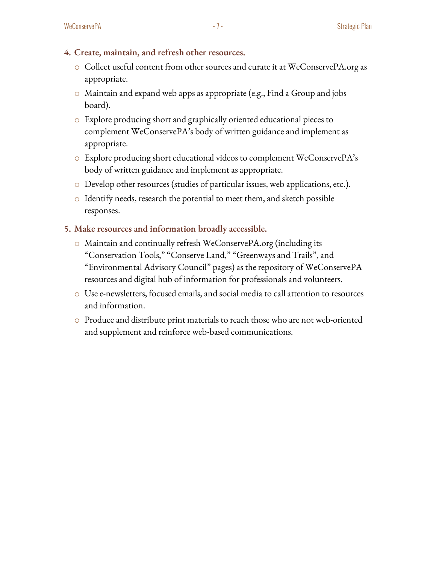- **4. Create, maintain, and refresh other resources.**
	- o Collect useful content from other sources and curate it at WeConservePA.org as appropriate.
	- o Maintain and expand web apps as appropriate (e.g., Find a Group and jobs board).
	- o Explore producing short and graphically oriented educational pieces to complement WeConservePA's body of written guidance and implement as appropriate.
	- o Explore producing short educational videos to complement WeConservePA's body of written guidance and implement as appropriate.
	- o Develop other resources (studies of particular issues, web applications, etc.).
	- o Identify needs, research the potential to meet them, and sketch possible responses.
- **5. Make resources and information broadly accessible.** 
	- o Maintain and continually refresh WeConservePA.org (including its "Conservation Tools," "Conserve Land," "Greenways and Trails", and "Environmental Advisory Council" pages) as the repository of WeConservePA resources and digital hub of information for professionals and volunteers.
	- o Use e-newsletters, focused emails, and social media to call attention to resources and information.
	- o Produce and distribute print materials to reach those who are not web-oriented and supplement and reinforce web-based communications.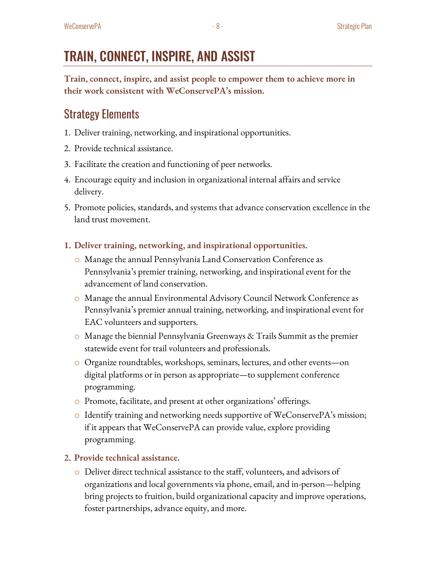**Train, connect, inspire, and assist people to empower them to achieve more in their work consistent with WeConservePA's mission.**

### Strategy Elements

- 1. Deliver training, networking, and inspirational opportunities.
- 2. Provide technical assistance.
- 3. Facilitate the creation and functioning of peer networks.
- 4. Encourage equity and inclusion in organizational internal affairs and service delivery.
- 5. Promote policies, standards, and systems that advance conservation excellence in the land trust movement.
- **1. Deliver training, networking, and inspirational opportunities.**
	- o Manage the annual Pennsylvania Land Conservation Conference as Pennsylvania's premier training, networking, and inspirational event for the advancement of land conservation.
	- o Manage the annual Environmental Advisory Council Network Conference as Pennsylvania's premier annual training, networking, and inspirational event for EAC volunteers and supporters.
	- $\circ$  Manage the biennial Pennsylvania Greenways & Trails Summit as the premier statewide event for trail volunteers and professionals.
	- $\circ$  Organize roundtables, workshops, seminars, lectures, and other events—on digital platforms or in person as appropriate—to supplement conference programming.
	- o Promote, facilitate, and present at other organizations' offerings.
	- o Identify training and networking needs supportive of WeConservePA's mission; if it appears that WeConservePA can provide value, explore providing programming.

#### **2. Provide technical assistance.**

o Deliver direct technical assistance to the staff, volunteers, and advisors of organizations and local governments via phone, email,and in-person—helping bring projects to fruition, build organizational capacity and improve operations, foster partnerships, advance equity, and more.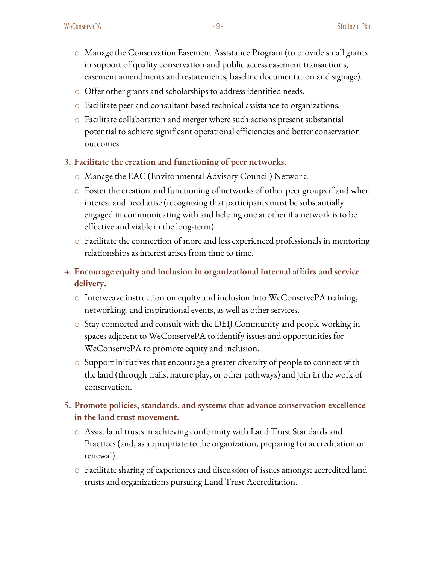- o Manage the Conservation Easement Assistance Program (to provide small grants in support of quality conservation and public access easement transactions, easement amendments and restatements, baseline documentation and signage).
- o Offer other grants and scholarships to address identified needs.
- o Facilitate peer and consultant based technical assistance to organizations.
- o Facilitate collaboration and merger where such actions present substantial potential to achieve significant operational efficiencies and better conservation outcomes.
- **3. Facilitate the creation and functioning of peer networks.**
	- o Manage the EAC (Environmental Advisory Council) Network.
	- o Foster the creation and functioning of networks of other peer groups if and when interest and need arise (recognizing that participants must be substantially engaged in communicating with and helping one another if a network is to be effective and viable in the long-term).
	- $\circ$  Facilitate the connection of more and less experienced professionals in mentoring relationships as interest arises from time to time.
- **4. Encourage equity and inclusion in organizational internal affairs and service delivery.**
	- o Interweave instruction on equity and inclusion into WeConservePA training, networking, and inspirational events, as well as other services.
	- o Stay connected and consult with the DEIJ Community and people working in spaces adjacent to WeConservePA to identify issues and opportunities for WeConservePA to promote equity and inclusion.
	- o Support initiatives that encourage a greater diversity of people to connect with the land (through trails, nature play, or other pathways) and join in the work of conservation.
- **5. Promote policies, standards, and systems that advance conservation excellence in the land trust movement.**
	- o Assist land trusts in achieving conformity with Land Trust Standards and Practices (and, as appropriate to the organization, preparing for accreditation or renewal).
	- o Facilitate sharing of experiences and discussion of issues amongst accredited land trusts and organizations pursuing Land Trust Accreditation.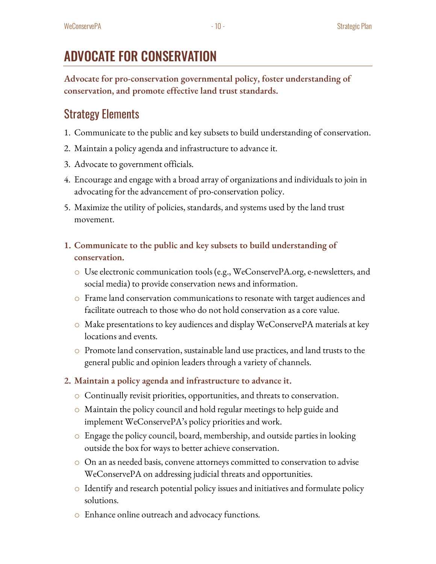# ADVOCATE FOR CONSERVATION

**Advocate for pro-conservation governmental policy, foster understanding of conservation, and promote effective land trust standards.** 

### Strategy Elements

- 1. Communicate to the public and key subsets to build understanding of conservation.
- 2. Maintain a policy agenda and infrastructure to advance it.
- 3. Advocate to government officials.
- 4. Encourage and engage with a broad array of organizations and individuals to join in advocating for the advancement of pro-conservation policy.
- 5. Maximize the utility of policies, standards, and systems used by the land trust movement.
- **1. Communicate to the public and key subsets to build understanding of conservation.**
	- o Use electronic communication tools (e.g., WeConservePA.org, e-newsletters, and social media) to provide conservation news and information.
	- $\circ$  Frame land conservation communications to resonate with target audiences and facilitate outreach to those who do not hold conservation as a core value.
	- $\circ$  Make presentations to key audiences and display WeConservePA materials at key locations and events.
	- $\circ$  Promote land conservation, sustainable land use practices, and land trusts to the general public and opinion leaders through a variety of channels.
- **2. Maintain a policy agenda and infrastructure to advance it.** 
	- o Continually revisit priorities, opportunities, and threats to conservation.
	- o Maintain the policy council and hold regular meetings to help guide and implement WeConservePA's policy priorities and work.
	- o Engage the policy council, board, membership, and outside parties in looking outside the box for ways to better achieve conservation.
	- o On an as needed basis, convene attorneys committed to conservation to advise WeConservePA on addressing judicial threats and opportunities.
	- $\circ$  Identify and research potential policy issues and initiatives and formulate policy solutions.
	- o Enhance online outreach and advocacy functions.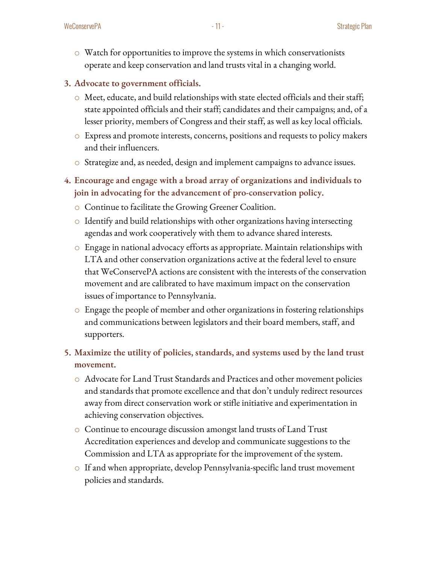- o Watch for opportunities to improve the systems in which conservationists operate and keep conservation and land trusts vital in a changing world.
- **3. Advocate to government officials.**
	- o Meet, educate, and build relationships with state elected officials and their staff; state appointed officials and their staff; candidates and their campaigns; and, of a lesser priority, members of Congressand their staff, as well as key local officials.
	- o Express and promote interests, concerns, positions and requests to policy makers and their influencers.
	- o Strategize and, as needed, design and implement campaigns to advance issues.
- **4. Encourage and engage with a broad array of organizations and individuals to join in advocating for the advancement of pro-conservation policy.**
	- o Continue to facilitate the Growing Greener Coalition.
	- $\circ$  Identify and build relationships with other organizations having intersecting agendas and work cooperatively with them to advance shared interests.
	- $\circ$  Engage in national advocacy efforts as appropriate. Maintain relationships with LTA and other conservation organizations active at the federal level to ensure that WeConservePA actions are consistent with the interests of the conservation movement and are calibrated to have maximum impact on the conservation issues of importance to Pennsylvania.
	- $\circ$  Engage the people of member and other organizations in fostering relationships and communications between legislators and their board members, staff, and supporters.

#### **5. Maximize the utility of policies, standards, and systems used by the land trust movement.**

- o Advocate for Land Trust Standards and Practices and other movement policies and standards that promote excellence and that don't unduly redirect resources away from direct conservation work or stifle initiative and experimentation in achieving conservation objectives.
- o Continue to encourage discussion amongst land trusts of Land Trust Accreditation experiences and develop and communicate suggestions to the Commission and LTA as appropriate for the improvement of the system.
- o If and when appropriate, develop Pennsylvania-specific land trust movement policies and standards.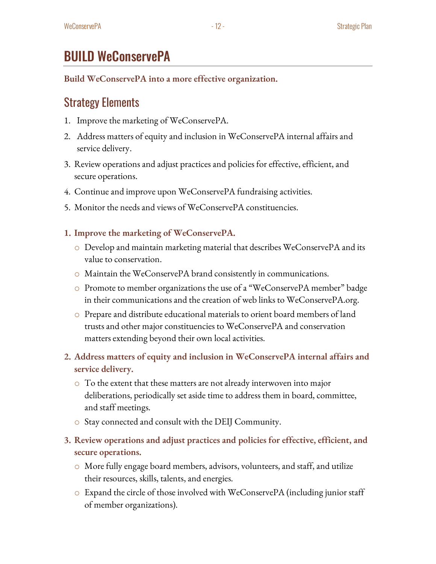### BUILD WeConservePA

**Build WeConservePA into a more effective organization.**

### Strategy Elements

- 1. Improve the marketing of WeConservePA.
- 2. Address matters of equity and inclusion in WeConservePA internal affairs and service delivery.
- 3. Review operations and adjust practices and policies for effective, efficient, and secure operations.
- 4. Continue and improve upon WeConservePA fundraising activities.
- 5. Monitor the needs and views of WeConservePA constituencies.
- **1. Improve the marketing of WeConservePA.**
	- o Develop and maintain marketing material that describes WeConservePA and its value to conservation.
	- o Maintain the WeConservePA brand consistently in communications.
	- o Promote to member organizations the use of a "WeConservePA member" badge in their communications and the creation of web links to WeConservePA.org.
	- o Prepare and distribute educational materials to orient board members of land trusts and other major constituencies to WeConservePA and conservation matters extending beyond their own local activities.
- **2. Address matters of equity and inclusion in WeConservePA internal affairs and service delivery.**
	- $\circ$  To the extent that these matters are not already interwoven into major deliberations, periodically set aside time to address them in board, committee, and staff meetings.
	- o Stay connected and consult with the DEIJ Community.
- **3. Review operations and adjust practices and policies for effective, efficient, and secure operations.**
	- o More fully engage board members, advisors, volunteers, and staff, and utilize their resources, skills, talents, and energies.
	- $\circ$  Expand the circle of those involved with WeConservePA (including junior staff of member organizations).